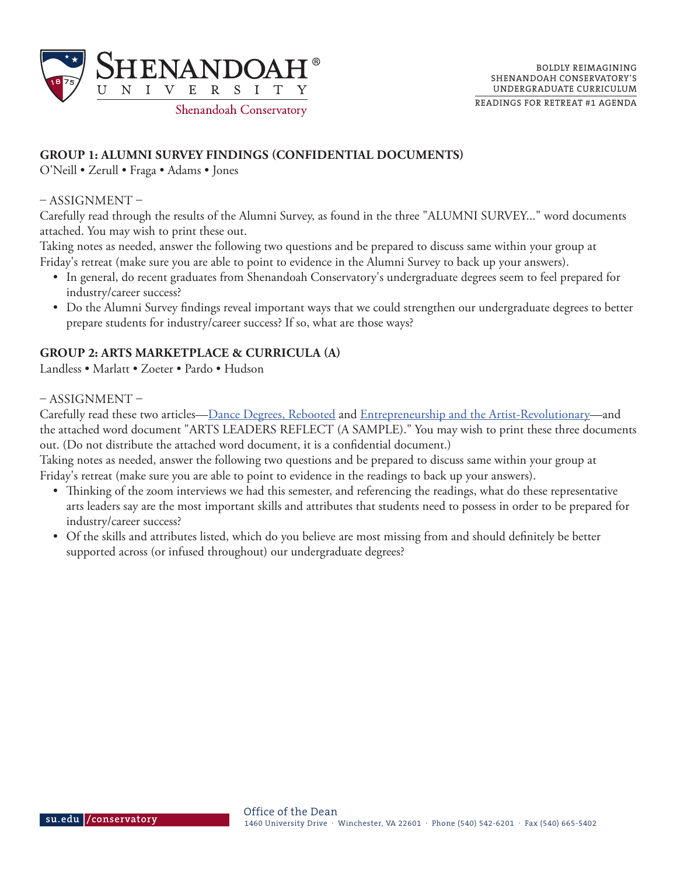

## **GROUP 1: ALUMNI SURVEY FINDINGS (CONFIDENTIAL DOCUMENTS)**

O'Neill • Zerull • Fraga • Adams • Jones

#### – ASSIGNMENT –

Carefully read through the results of the Alumni Survey, as found in the three "ALUMNI SURVEY..." word documents attached. You may wish to print these out.

Taking notes as needed, answer the following two questions and be prepared to discuss same within your group at Friday's retreat (make sure you are able to point to evidence in the Alumni Survey to back up your answers).

- In general, do recent graduates from Shenandoah Conservatory's undergraduate degrees seem to feel prepared for industry/career success?
- Do the Alumni Survey findings reveal important ways that we could strengthen our undergraduate degrees to better prepare students for industry/career success? If so, what are those ways?

## **GROUP 2: ARTS MARKETPLACE & CURRICULA (A)**

Landless • Marlatt • Zoeter • Pardo • Hudson

## – ASSIGNMENT –

Carefully read these two articles[—Dance Degrees, Rebooted](https://www.dancemagazine.com/dance-degrees-rebooted-2307030585.html) and [Entrepreneurship and the Artist-Revolutionary—](http://21cm.org/magazine/sounding-board/2015/11/01/entrepreneurship-and-the-artist-revolutionary/)and the attached word document "ARTS LEADERS REFLECT (A SAMPLE)." You may wish to print these three documents out. (Do not distribute the attached word document, it is a confidential document.)

Taking notes as needed, answer the following two questions and be prepared to discuss same within your group at Friday's retreat (make sure you are able to point to evidence in the readings to back up your answers).

- Thinking of the zoom interviews we had this semester, and referencing the readings, what do these representative arts leaders say are the most important skills and attributes that students need to possess in order to be prepared for industry/career success?
- Of the skills and attributes listed, which do you believe are most missing from and should definitely be better supported across (or infused throughout) our undergraduate degrees?